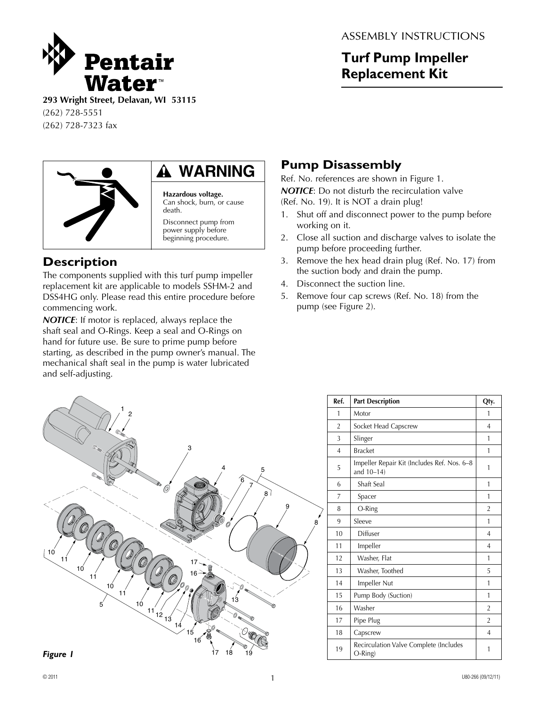

ASSEMBLY INSTRUCTIONS

## **Turf Pump Impeller Replacement Kit**

**293 Wright Street, Delavan, WI 53115** (262) 728-5551 (262) 728-7323 fax



# **WARNING**

**Hazardous voltage.**  Can shock, burn, or cause death. Disconnect pump from

power supply before beginning procedure.

## **Description**

The components supplied with this turf pump impeller replacement kit are applicable to models SSHM-2 and DSS4HG only. Please read this entire procedure before commencing work.

*NOTICE*: If motor is replaced, always replace the shaft seal and O-Rings. Keep a seal and O-Rings on hand for future use. Be sure to prime pump before starting, as described in the pump owner's manual. The mechanical shaft seal in the pump is water lubricated and self-adjusting.

## **Pump Disassembly**

Ref. No. references are shown in Figure 1.

*NOTICE*: Do not disturb the recirculation valve (Ref. No. 19). It is NOT a drain plug!

- 1. Shut off and disconnect power to the pump before working on it.
- 2. Close all suction and discharge valves to isolate the pump before proceeding further.
- 3. Remove the hex head drain plug (Ref. No. 17) from the suction body and drain the pump.
- 4. Disconnect the suction line.
- 5. Remove four cap screws (Ref. No. 18) from the pump (see Figure 2).



| Ref.           | <b>Part Description</b>                                      | Qty.           |
|----------------|--------------------------------------------------------------|----------------|
| 1              | Motor                                                        | 1              |
| $\overline{2}$ | Socket Head Capscrew                                         | 4              |
| 3              | Slinger                                                      | 1              |
| $\overline{4}$ | <b>Bracket</b>                                               | 1              |
| 5              | Impeller Repair Kit (Includes Ref. Nos. 6-8<br>and $10-14$ ) | 1              |
| 6              | Shaft Seal                                                   | 1              |
| 7              | Spacer                                                       | 1              |
| 8              | O-Ring                                                       | 2              |
| 9              | Sleeve                                                       | 1              |
| 10             | Diffuser                                                     | $\overline{4}$ |
| 11             | Impeller                                                     | 4              |
| 12             | Washer, Flat                                                 | 1              |
| 13             | Washer, Toothed                                              | 5              |
| 14             | Impeller Nut                                                 | 1              |
| 15             | Pump Body (Suction)                                          | 1              |
| 16             | Washer                                                       | $\overline{2}$ |
| 17             | Pipe Plug                                                    | $\overline{2}$ |
| 18             | Capscrew                                                     | $\overline{4}$ |
| 19             | Recirculation Valve Complete (Includes<br>O-Ring)            | 1              |

*Figure 1*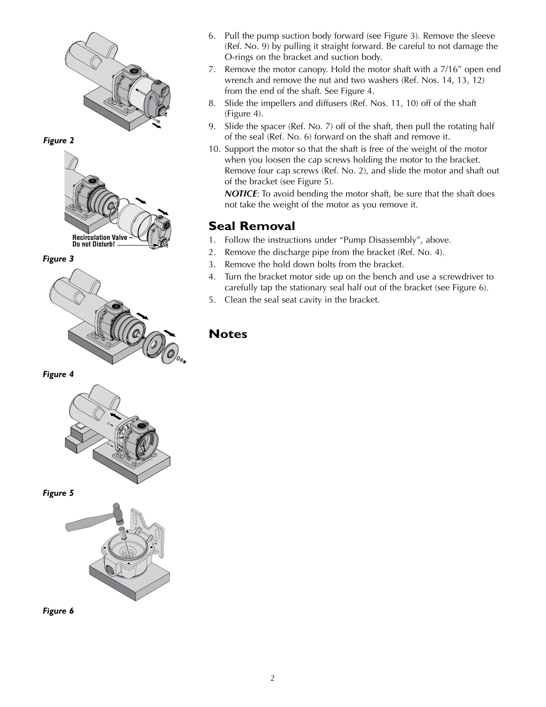

*Figure 2*



*Figure 3*



*Figure 4*



*Figure 5*





- 6. Pull the pump suction body forward (see Figure 3). Remove the sleeve (Ref. No. 9) by pulling it straight forward. Be careful to not damage the O-rings on the bracket and suction body.
- 7. Remove the motor canopy. Hold the motor shaft with a 7/16" open end wrench and remove the nut and two washers (Ref. Nos. 14, 13, 12) from the end of the shaft. See Figure 4.
- 8. Slide the impellers and diffusers (Ref. Nos. 11, 10) off of the shaft (Figure 4).
- 9. Slide the spacer (Ref. No. 7) off of the shaft, then pull the rotating half of the seal (Ref. No. 6) forward on the shaft and remove it.
- 10. Support the motor so that the shaft is free of the weight of the motor when you loosen the cap screws holding the motor to the bracket. Remove four cap screws (Ref. No. 2), and slide the motor and shaft out of the bracket (see Figure 5).

**NOTICE:** To avoid bending the motor shaft, be sure that the shaft does not take the weight of the motor as you remove it.

#### **Seal Removal**

- 1. Follow the instructions under "Pump Disassembly", above.
- 2. Remove the discharge pipe from the bracket (Ref. No. 4).
- 3. Remove the hold down bolts from the bracket.
- 4. Turn the bracket motor side up on the bench and use a screwdriver to carefully tap the stationary seal half out of the bracket (see Figure 6).
- 5. Clean the seal seat cavity in the bracket.

#### **Notes**